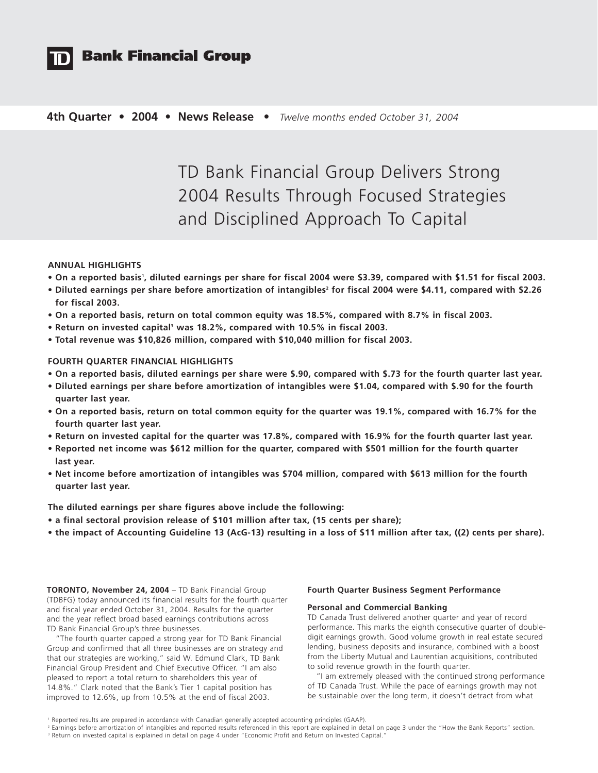

# **Bank Financial Group**

## **4th Quarter • 2004 • News Release •** *Twelve months ended October 31, 2004*

TD Bank Financial Group Delivers Strong 2004 Results Through Focused Strategies and Disciplined Approach To Capital

## **ANNUAL HIGHLIGHTS**

- **On a reported basis1 , diluted earnings per share for fiscal 2004 were \$3.39, compared with \$1.51 for fiscal 2003.**
- Diluted earnings per share before amortization of intangibles<sup>2</sup> for fiscal 2004 were \$4.11, compared with \$2.26 **for fiscal 2003.**
- **On a reported basis, return on total common equity was 18.5%, compared with 8.7% in fiscal 2003.**
- **Return on invested capital3 was 18.2%, compared with 10.5% in fiscal 2003.**
- **Total revenue was \$10,826 million, compared with \$10,040 million for fiscal 2003.**

## **FOURTH QUARTER FINANCIAL HIGHLIGHTS**

- **On a reported basis, diluted earnings per share were \$.90, compared with \$.73 for the fourth quarter last year.**
- **Diluted earnings per share before amortization of intangibles were \$1.04, compared with \$.90 for the fourth quarter last year.**
- **On a reported basis, return on total common equity for the quarter was 19.1%, compared with 16.7% for the fourth quarter last year.**
- **Return on invested capital for the quarter was 17.8%, compared with 16.9% for the fourth quarter last year.**
- **Reported net income was \$612 million for the quarter, compared with \$501 million for the fourth quarter last year.**
- **Net income before amortization of intangibles was \$704 million, compared with \$613 million for the fourth quarter last year.**

**The diluted earnings per share figures above include the following:**

- **a final sectoral provision release of \$101 million after tax, (15 cents per share);**
- **the impact of Accounting Guideline 13 (AcG-13) resulting in a loss of \$11 million after tax, ((2) cents per share).**

**TORONTO, November 24, 2004** – TD Bank Financial Group (TDBFG) today announced its financial results for the fourth quarter and fiscal year ended October 31, 2004. Results for the quarter and the year reflect broad based earnings contributions across TD Bank Financial Group's three businesses.

"The fourth quarter capped a strong year for TD Bank Financial Group and confirmed that all three businesses are on strategy and that our strategies are working," said W. Edmund Clark, TD Bank Financial Group President and Chief Executive Officer. "I am also pleased to report a total return to shareholders this year of 14.8%." Clark noted that the Bank's Tier 1 capital position has improved to 12.6%, up from 10.5% at the end of fiscal 2003.

## **Fourth Quarter Business Segment Performance**

#### **Personal and Commercial Banking**

TD Canada Trust delivered another quarter and year of record performance. This marks the eighth consecutive quarter of doubledigit earnings growth. Good volume growth in real estate secured lending, business deposits and insurance, combined with a boost from the Liberty Mutual and Laurentian acquisitions, contributed to solid revenue growth in the fourth quarter.

"I am extremely pleased with the continued strong performance of TD Canada Trust. While the pace of earnings growth may not be sustainable over the long term, it doesn't detract from what

<sup>&</sup>lt;sup>1</sup> Reported results are prepared in accordance with Canadian generally accepted accounting principles (GAAP).

<sup>&</sup>lt;sup>2</sup> Earnings before amortization of intangibles and reported results referenced in this report are explained in detail on page 3 under the "How the Bank Reports" section. <sup>3</sup> Return on invested capital is explained in detail on page 4 under "Economic Profit and Return on Invested Capital."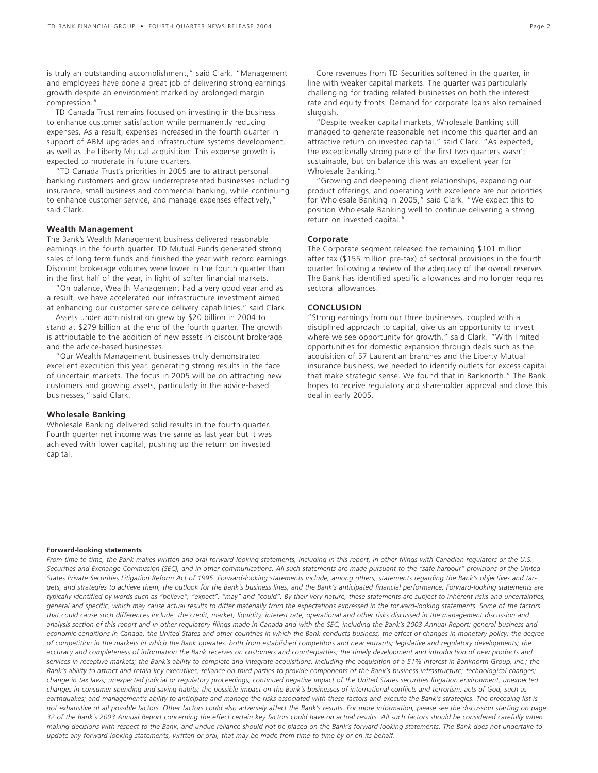is truly an outstanding accomplishment," said Clark. "Management and employees have done a great job of delivering strong earnings growth despite an environment marked by prolonged margin compression."

TD Canada Trust remains focused on investing in the business to enhance customer satisfaction while permanently reducing expenses. As a result, expenses increased in the fourth quarter in support of ABM upgrades and infrastructure systems development, as well as the Liberty Mutual acquisition. This expense growth is expected to moderate in future quarters.

"TD Canada Trust's priorities in 2005 are to attract personal banking customers and grow underrepresented businesses including insurance, small business and commercial banking, while continuing to enhance customer service, and manage expenses effectively," said Clark.

#### **Wealth Management**

The Bank's Wealth Management business delivered reasonable earnings in the fourth quarter. TD Mutual Funds generated strong sales of long term funds and finished the year with record earnings. Discount brokerage volumes were lower in the fourth quarter than in the first half of the year, in light of softer financial markets.

"On balance, Wealth Management had a very good year and as a result, we have accelerated our infrastructure investment aimed at enhancing our customer service delivery capabilities," said Clark.

Assets under administration grew by \$20 billion in 2004 to stand at \$279 billion at the end of the fourth quarter. The growth is attributable to the addition of new assets in discount brokerage and the advice-based businesses.

"Our Wealth Management businesses truly demonstrated excellent execution this year, generating strong results in the face of uncertain markets. The focus in 2005 will be on attracting new customers and growing assets, particularly in the advice-based businesses," said Clark.

#### **Wholesale Banking**

Wholesale Banking delivered solid results in the fourth quarter. Fourth quarter net income was the same as last year but it was achieved with lower capital, pushing up the return on invested capital.

"Despite weaker capital markets, Wholesale Banking still managed to generate reasonable net income this quarter and an attractive return on invested capital," said Clark. "As expected, the exceptionally strong pace of the first two quarters wasn't sustainable, but on balance this was an excellent year for Wholesale Banking."

"Growing and deepening client relationships, expanding our product offerings, and operating with excellence are our priorities for Wholesale Banking in 2005," said Clark. "We expect this to position Wholesale Banking well to continue delivering a strong return on invested capital."

### **Corporate**

The Corporate segment released the remaining \$101 million after tax (\$155 million pre-tax) of sectoral provisions in the fourth quarter following a review of the adequacy of the overall reserves. The Bank has identified specific allowances and no longer requires sectoral allowances.

## **CONCLUSION**

"Strong earnings from our three businesses, coupled with a disciplined approach to capital, give us an opportunity to invest where we see opportunity for growth," said Clark. "With limited opportunities for domestic expansion through deals such as the acquisition of 57 Laurentian branches and the Liberty Mutual insurance business, we needed to identify outlets for excess capital that make strategic sense. We found that in Banknorth." The Bank hopes to receive regulatory and shareholder approval and close this deal in early 2005.

#### **Forward-looking statements**

*From time to time, the Bank makes written and oral forward-looking statements, including in this report, in other filings with Canadian regulators or the U.S. Securities and Exchange Commission (SEC), and in other communications. All such statements are made pursuant to the "safe harbour" provisions of the United States Private Securities Litigation Reform Act of 1995. Forward-looking statements include, among others, statements regarding the Bank's objectives and targets, and strategies to achieve them, the outlook for the Bank's business lines, and the Bank's anticipated financial performance. Forward-looking statements are typically identified by words such as "believe", "expect", "may" and "could". By their very nature, these statements are subject to inherent risks and uncertainties, general and specific, which may cause actual results to differ materially from the expectations expressed in the forward-looking statements. Some of the factors that could cause such differences include: the credit, market, liquidity, interest rate, operational and other risks discussed in the management discussion and analysis section of this report and in other regulatory filings made in Canada and with the SEC, including the Bank's 2003 Annual Report; general business and* economic conditions in Canada, the United States and other countries in which the Bank conducts business; the effect of changes in monetary policy; the degree *of competition in the markets in which the Bank operates, both from established competitors and new entrants; legislative and regulatory developments; the accuracy and completeness of information the Bank receives on customers and counterparties; the timely development and introduction of new products and services in receptive markets; the Bank's ability to complete and integrate acquisitions, including the acquisition of a 51% interest in Banknorth Group, Inc.; the Bank's ability to attract and retain key executives; reliance on third parties to provide components of the Bank's business infrastructure; technological changes; change in tax laws; unexpected judicial or regulatory proceedings; continued negative impact of the United States securities litigation environment; unexpected changes in consumer spending and saving habits; the possible impact on the Bank's businesses of international conflicts and terrorism; acts of God, such as earthquakes; and management's ability to anticipate and manage the risks associated with these factors and execute the Bank's strategies. The preceding list is not exhaustive of all possible factors. Other factors could also adversely affect the Bank's results. For more information, please see the discussion starting on page 32 of the Bank's 2003 Annual Report concerning the effect certain key factors could have on actual results. All such factors should be considered carefully when making decisions with respect to the Bank, and undue reliance should not be placed on the Bank's forward-looking statements. The Bank does not undertake to update any forward-looking statements, written or oral, that may be made from time to time by or on its behalf.*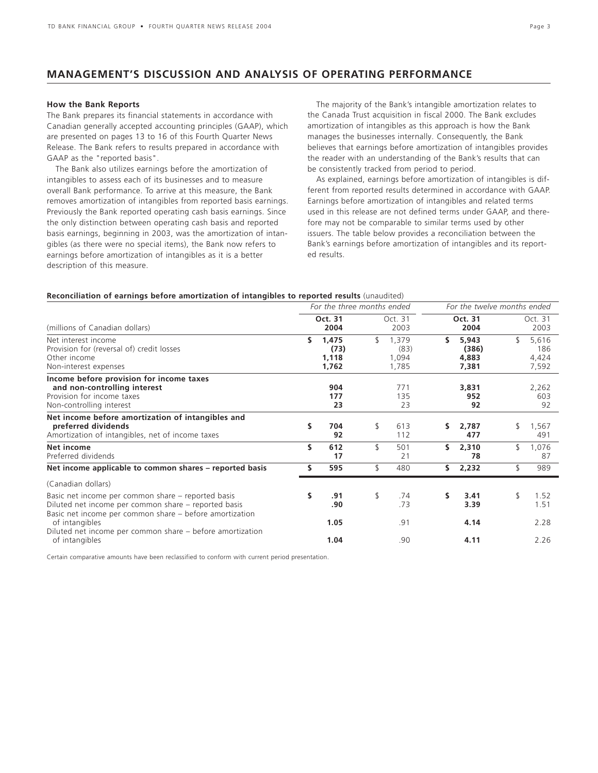## **MANAGEMENT'S DISCUSSION AND ANALYSIS OF OPERATING PERFORMANCE**

#### **How the Bank Reports**

The Bank prepares its financial statements in accordance with Canadian generally accepted accounting principles (GAAP), which are presented on pages 13 to 16 of this Fourth Quarter News Release. The Bank refers to results prepared in accordance with GAAP as the "reported basis".

The Bank also utilizes earnings before the amortization of intangibles to assess each of its businesses and to measure overall Bank performance. To arrive at this measure, the Bank removes amortization of intangibles from reported basis earnings. Previously the Bank reported operating cash basis earnings. Since the only distinction between operating cash basis and reported basis earnings, beginning in 2003, was the amortization of intangibles (as there were no special items), the Bank now refers to earnings before amortization of intangibles as it is a better description of this measure.

The majority of the Bank's intangible amortization relates to the Canada Trust acquisition in fiscal 2000. The Bank excludes amortization of intangibles as this approach is how the Bank manages the businesses internally. Consequently, the Bank believes that earnings before amortization of intangibles provides the reader with an understanding of the Bank's results that can be consistently tracked from period to period.

As explained, earnings before amortization of intangibles is different from reported results determined in accordance with GAAP. Earnings before amortization of intangibles and related terms used in this release are not defined terms under GAAP, and therefore may not be comparable to similar terms used by other issuers. The table below provides a reconciliation between the Bank's earnings before amortization of intangibles and its reported results.

### **Reconciliation of earnings before amortization of intangibles to reported results** (unaudited)

|                                                                                                                                                                       |    | For the three months ended      |    |                                 |     | For the twelve months ended      |    |                                |  |
|-----------------------------------------------------------------------------------------------------------------------------------------------------------------------|----|---------------------------------|----|---------------------------------|-----|----------------------------------|----|--------------------------------|--|
| (millions of Canadian dollars)                                                                                                                                        |    | Oct. 31<br>2004                 |    | Oct. 31<br>2003                 |     | Oct. 31<br>2004                  |    | Oct. 31<br>2003                |  |
| Net interest income<br>Provision for (reversal of) credit losses<br>Other income<br>Non-interest expenses                                                             | \$ | 1,475<br>(73)<br>1,118<br>1,762 | \$ | 1,379<br>(83)<br>1,094<br>1,785 | s   | 5,943<br>(386)<br>4,883<br>7,381 | \$ | 5,616<br>186<br>4,424<br>7,592 |  |
| Income before provision for income taxes<br>and non-controlling interest<br>Provision for income taxes<br>Non-controlling interest                                    |    | 904<br>177<br>23                |    | 771<br>135<br>23                |     | 3,831<br>952<br>92               |    | 2,262<br>603<br>92             |  |
| Net income before amortization of intangibles and<br>preferred dividends<br>Amortization of intangibles, net of income taxes                                          | \$ | 704<br>92                       | \$ | 613<br>112                      | s.  | 2,787<br>477                     | \$ | 1,567<br>491                   |  |
| Net income<br>Preferred dividends                                                                                                                                     | \$ | 612<br>17                       | \$ | 501<br>21                       | \$. | 2,310<br>78                      | \$ | 1,076<br>87                    |  |
| Net income applicable to common shares – reported basis                                                                                                               | \$ | 595                             | \$ | 480                             | s.  | 2,232                            | \$ | 989                            |  |
| (Canadian dollars)                                                                                                                                                    |    |                                 |    |                                 |     |                                  |    |                                |  |
| Basic net income per common share – reported basis<br>Diluted net income per common share – reported basis<br>Basic net income per common share – before amortization | \$ | .91<br>.90                      | \$ | .74<br>.73                      | s   | 3.41<br>3.39                     | \$ | 1.52<br>1.51                   |  |
| of intangibles<br>Diluted net income per common share – before amortization                                                                                           |    | 1.05                            |    | .91                             |     | 4.14                             |    | 2.28                           |  |
| of intangibles                                                                                                                                                        |    | 1.04                            |    | .90                             |     | 4.11                             |    | 2.26                           |  |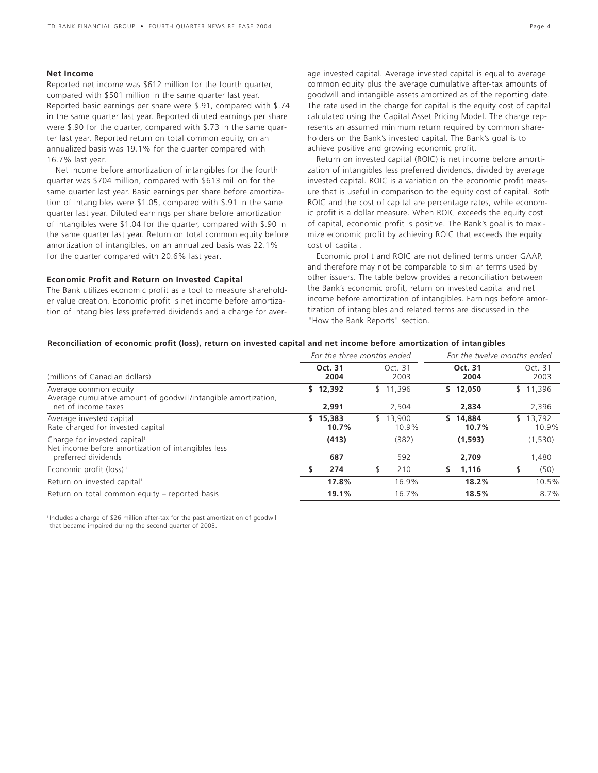## **Net Income**

Reported net income was \$612 million for the fourth quarter, compared with \$501 million in the same quarter last year. Reported basic earnings per share were \$.91, compared with \$.74 in the same quarter last year. Reported diluted earnings per share were \$.90 for the quarter, compared with \$.73 in the same quarter last year. Reported return on total common equity, on an annualized basis was 19.1% for the quarter compared with 16.7% last year.

Net income before amortization of intangibles for the fourth quarter was \$704 million, compared with \$613 million for the same quarter last year. Basic earnings per share before amortization of intangibles were \$1.05, compared with \$.91 in the same quarter last year. Diluted earnings per share before amortization of intangibles were \$1.04 for the quarter, compared with \$.90 in the same quarter last year. Return on total common equity before amortization of intangibles, on an annualized basis was 22.1% for the quarter compared with 20.6% last year.

#### **Economic Profit and Return on Invested Capital**

The Bank utilizes economic profit as a tool to measure shareholder value creation. Economic profit is net income before amortization of intangibles less preferred dividends and a charge for average invested capital. Average invested capital is equal to average common equity plus the average cumulative after-tax amounts of goodwill and intangible assets amortized as of the reporting date. The rate used in the charge for capital is the equity cost of capital calculated using the Capital Asset Pricing Model. The charge represents an assumed minimum return required by common shareholders on the Bank's invested capital. The Bank's goal is to achieve positive and growing economic profit.

Return on invested capital (ROIC) is net income before amortization of intangibles less preferred dividends, divided by average invested capital. ROIC is a variation on the economic profit measure that is useful in comparison to the equity cost of capital. Both ROIC and the cost of capital are percentage rates, while economic profit is a dollar measure. When ROIC exceeds the equity cost of capital, economic profit is positive. The Bank's goal is to maximize economic profit by achieving ROIC that exceeds the equity cost of capital.

Economic profit and ROIC are not defined terms under GAAP, and therefore may not be comparable to similar terms used by other issuers. The table below provides a reconciliation between the Bank's economic profit, return on invested capital and net income before amortization of intangibles. Earnings before amortization of intangibles and related terms are discussed in the "How the Bank Reports" section.

### **Reconciliation of economic profit (loss), return on invested capital and net income before amortization of intangibles**

|                   |                   | For the twelve months ended                |                   |  |  |
|-------------------|-------------------|--------------------------------------------|-------------------|--|--|
| Oct. 31<br>2004   | Oct. 31<br>2003   | Oct. 31<br>2004                            | Oct. 31<br>2003   |  |  |
| \$12.392          | \$11.396          | \$12,050                                   | \$11,396          |  |  |
|                   |                   |                                            | 2,396             |  |  |
| \$15.383<br>10.7% | \$13.900<br>10.9% | \$14.884<br>10.7%                          | \$13.792<br>10.9% |  |  |
| (413)             | (382)             | (1,593)                                    | (1,530)<br>1,480  |  |  |
|                   |                   |                                            |                   |  |  |
| 274<br>s          | \$<br>210         | S.<br>1,116                                | (50)              |  |  |
| 17.8%             | 16.9%             | 18.2%                                      | 10.5%             |  |  |
| 19.1%             | 16.7%             | 18.5%                                      | 8.7%              |  |  |
|                   | 2,991<br>687      | For the three months ended<br>2.504<br>592 | 2.834<br>2.709    |  |  |

<sup>1</sup> Includes a charge of \$26 million after-tax for the past amortization of goodwill that became impaired during the second quarter of 2003.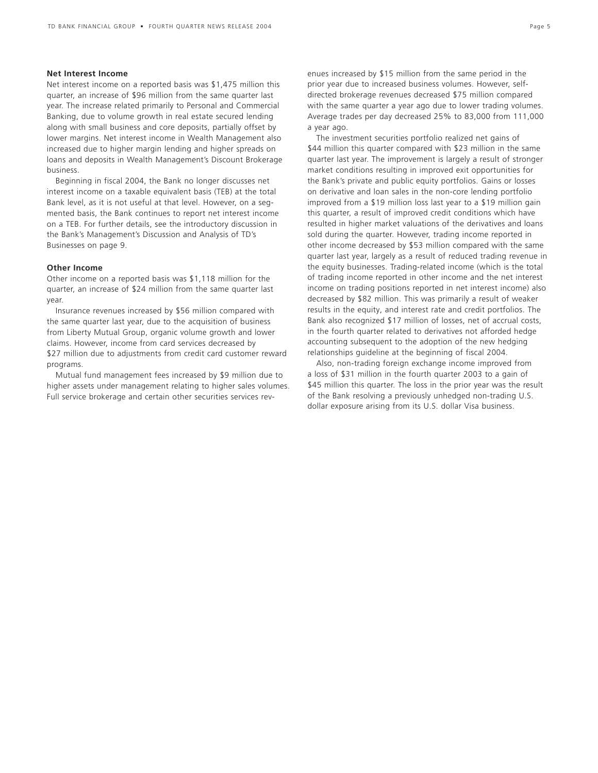## **Net Interest Income**

Net interest income on a reported basis was \$1,475 million this quarter, an increase of \$96 million from the same quarter last year. The increase related primarily to Personal and Commercial Banking, due to volume growth in real estate secured lending along with small business and core deposits, partially offset by lower margins. Net interest income in Wealth Management also increased due to higher margin lending and higher spreads on loans and deposits in Wealth Management's Discount Brokerage business.

Beginning in fiscal 2004, the Bank no longer discusses net interest income on a taxable equivalent basis (TEB) at the total Bank level, as it is not useful at that level. However, on a segmented basis, the Bank continues to report net interest income on a TEB. For further details, see the introductory discussion in the Bank's Management's Discussion and Analysis of TD's Businesses on page 9.

## **Other Income**

Other income on a reported basis was \$1,118 million for the quarter, an increase of \$24 million from the same quarter last year.

Insurance revenues increased by \$56 million compared with the same quarter last year, due to the acquisition of business from Liberty Mutual Group, organic volume growth and lower claims. However, income from card services decreased by \$27 million due to adjustments from credit card customer reward programs.

Mutual fund management fees increased by \$9 million due to higher assets under management relating to higher sales volumes. Full service brokerage and certain other securities services rev-

The investment securities portfolio realized net gains of \$44 million this quarter compared with \$23 million in the same quarter last year. The improvement is largely a result of stronger market conditions resulting in improved exit opportunities for the Bank's private and public equity portfolios. Gains or losses on derivative and loan sales in the non-core lending portfolio improved from a \$19 million loss last year to a \$19 million gain this quarter, a result of improved credit conditions which have resulted in higher market valuations of the derivatives and loans sold during the quarter. However, trading income reported in other income decreased by \$53 million compared with the same quarter last year, largely as a result of reduced trading revenue in the equity businesses. Trading-related income (which is the total of trading income reported in other income and the net interest income on trading positions reported in net interest income) also decreased by \$82 million. This was primarily a result of weaker results in the equity, and interest rate and credit portfolios. The Bank also recognized \$17 million of losses, net of accrual costs, in the fourth quarter related to derivatives not afforded hedge accounting subsequent to the adoption of the new hedging relationships guideline at the beginning of fiscal 2004.

Also, non-trading foreign exchange income improved from a loss of \$31 million in the fourth quarter 2003 to a gain of \$45 million this quarter. The loss in the prior year was the result of the Bank resolving a previously unhedged non-trading U.S. dollar exposure arising from its U.S. dollar Visa business.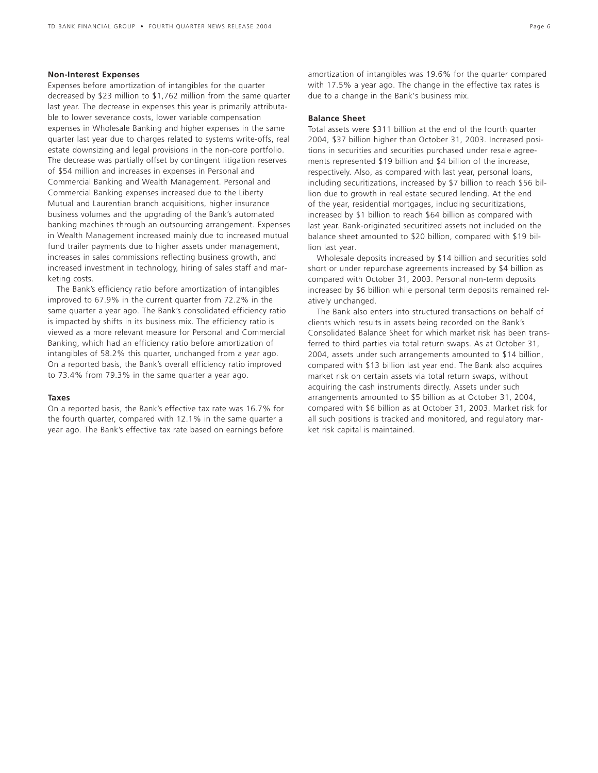### **Non-Interest Expenses**

Expenses before amortization of intangibles for the quarter decreased by \$23 million to \$1,762 million from the same quarter last year. The decrease in expenses this year is primarily attributable to lower severance costs, lower variable compensation expenses in Wholesale Banking and higher expenses in the same quarter last year due to charges related to systems write-offs, real estate downsizing and legal provisions in the non-core portfolio. The decrease was partially offset by contingent litigation reserves of \$54 million and increases in expenses in Personal and Commercial Banking and Wealth Management. Personal and Commercial Banking expenses increased due to the Liberty Mutual and Laurentian branch acquisitions, higher insurance business volumes and the upgrading of the Bank's automated banking machines through an outsourcing arrangement. Expenses in Wealth Management increased mainly due to increased mutual fund trailer payments due to higher assets under management, increases in sales commissions reflecting business growth, and increased investment in technology, hiring of sales staff and marketing costs.

The Bank's efficiency ratio before amortization of intangibles improved to 67.9% in the current quarter from 72.2% in the same quarter a year ago. The Bank's consolidated efficiency ratio is impacted by shifts in its business mix. The efficiency ratio is viewed as a more relevant measure for Personal and Commercial Banking, which had an efficiency ratio before amortization of intangibles of 58.2% this quarter, unchanged from a year ago. On a reported basis, the Bank's overall efficiency ratio improved to 73.4% from 79.3% in the same quarter a year ago.

## **Taxes**

On a reported basis, the Bank's effective tax rate was 16.7% for the fourth quarter, compared with 12.1% in the same quarter a year ago. The Bank's effective tax rate based on earnings before amortization of intangibles was 19.6% for the quarter compared with 17.5% a year ago. The change in the effective tax rates is due to a change in the Bank's business mix.

#### **Balance Sheet**

Total assets were \$311 billion at the end of the fourth quarter 2004, \$37 billion higher than October 31, 2003. Increased positions in securities and securities purchased under resale agreements represented \$19 billion and \$4 billion of the increase, respectively. Also, as compared with last year, personal loans, including securitizations, increased by \$7 billion to reach \$56 billion due to growth in real estate secured lending. At the end of the year, residential mortgages, including securitizations, increased by \$1 billion to reach \$64 billion as compared with last year. Bank-originated securitized assets not included on the balance sheet amounted to \$20 billion, compared with \$19 billion last year.

Wholesale deposits increased by \$14 billion and securities sold short or under repurchase agreements increased by \$4 billion as compared with October 31, 2003. Personal non-term deposits increased by \$6 billion while personal term deposits remained relatively unchanged.

The Bank also enters into structured transactions on behalf of clients which results in assets being recorded on the Bank's Consolidated Balance Sheet for which market risk has been transferred to third parties via total return swaps. As at October 31, 2004, assets under such arrangements amounted to \$14 billion, compared with \$13 billion last year end. The Bank also acquires market risk on certain assets via total return swaps, without acquiring the cash instruments directly. Assets under such arrangements amounted to \$5 billion as at October 31, 2004, compared with \$6 billion as at October 31, 2003. Market risk for all such positions is tracked and monitored, and regulatory market risk capital is maintained.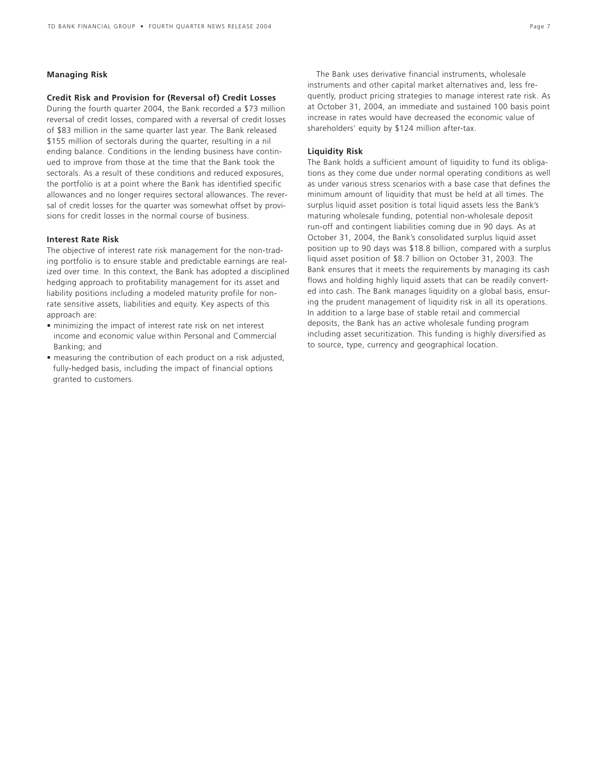## **Managing Risk**

## **Credit Risk and Provision for (Reversal of) Credit Losses**

During the fourth quarter 2004, the Bank recorded a \$73 million reversal of credit losses, compared with a reversal of credit losses of \$83 million in the same quarter last year. The Bank released \$155 million of sectorals during the quarter, resulting in a nil ending balance. Conditions in the lending business have continued to improve from those at the time that the Bank took the sectorals. As a result of these conditions and reduced exposures, the portfolio is at a point where the Bank has identified specific allowances and no longer requires sectoral allowances. The reversal of credit losses for the quarter was somewhat offset by provisions for credit losses in the normal course of business.

### **Interest Rate Risk**

The objective of interest rate risk management for the non-trading portfolio is to ensure stable and predictable earnings are realized over time. In this context, the Bank has adopted a disciplined hedging approach to profitability management for its asset and liability positions including a modeled maturity profile for nonrate sensitive assets, liabilities and equity. Key aspects of this approach are:

- minimizing the impact of interest rate risk on net interest income and economic value within Personal and Commercial Banking; and
- measuring the contribution of each product on a risk adjusted, fully-hedged basis, including the impact of financial options granted to customers.

The Bank uses derivative financial instruments, wholesale instruments and other capital market alternatives and, less frequently, product pricing strategies to manage interest rate risk. As at October 31, 2004, an immediate and sustained 100 basis point increase in rates would have decreased the economic value of shareholders' equity by \$124 million after-tax.

### **Liquidity Risk**

The Bank holds a sufficient amount of liquidity to fund its obligations as they come due under normal operating conditions as well as under various stress scenarios with a base case that defines the minimum amount of liquidity that must be held at all times. The surplus liquid asset position is total liquid assets less the Bank's maturing wholesale funding, potential non-wholesale deposit run-off and contingent liabilities coming due in 90 days. As at October 31, 2004, the Bank's consolidated surplus liquid asset position up to 90 days was \$18.8 billion, compared with a surplus liquid asset position of \$8.7 billion on October 31, 2003. The Bank ensures that it meets the requirements by managing its cash flows and holding highly liquid assets that can be readily converted into cash. The Bank manages liquidity on a global basis, ensuring the prudent management of liquidity risk in all its operations. In addition to a large base of stable retail and commercial deposits, the Bank has an active wholesale funding program including asset securitization. This funding is highly diversified as to source, type, currency and geographical location.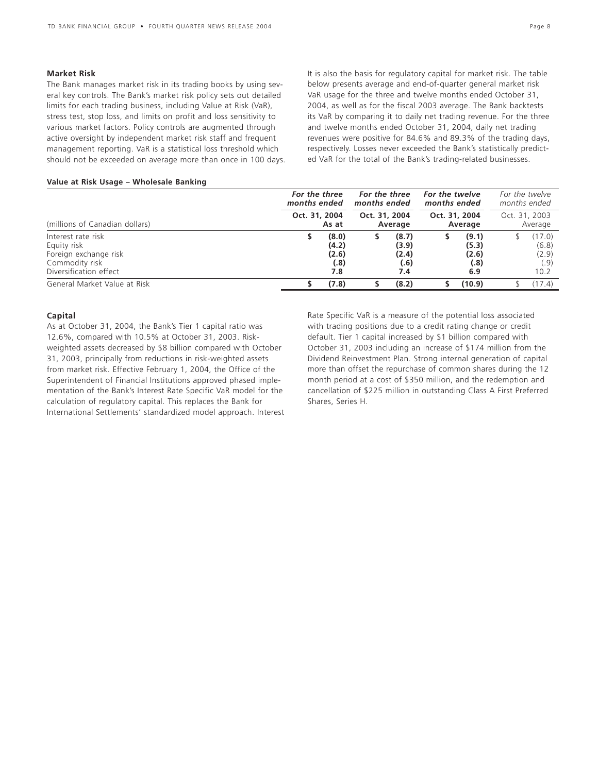#### **Market Risk**

The Bank manages market risk in its trading books by using several key controls. The Bank's market risk policy sets out detailed limits for each trading business, including Value at Risk (VaR), stress test, stop loss, and limits on profit and loss sensitivity to various market factors. Policy controls are augmented through active oversight by independent market risk staff and frequent management reporting. VaR is a statistical loss threshold which should not be exceeded on average more than once in 100 days. It is also the basis for regulatory capital for market risk. The table below presents average and end-of-quarter general market risk VaR usage for the three and twelve months ended October 31, 2004, as well as for the fiscal 2003 average. The Bank backtests its VaR by comparing it to daily net trading revenue. For the three and twelve months ended October 31, 2004, daily net trading revenues were positive for 84.6% and 89.3% of the trading days, respectively. Losses never exceeded the Bank's statistically predicted VaR for the total of the Bank's trading-related businesses.

#### **Value at Risk Usage – Wholesale Banking**

|                                                                                                        | For the three<br>months ended |                                        | For the three<br>months ended |                                        | For the twelve<br>months ended |                                        | months ended | For the twelve                           |
|--------------------------------------------------------------------------------------------------------|-------------------------------|----------------------------------------|-------------------------------|----------------------------------------|--------------------------------|----------------------------------------|--------------|------------------------------------------|
| (millions of Canadian dollars)                                                                         | Oct. 31, 2004                 | As at                                  | Oct. 31, 2004                 | Average                                |                                | Oct. 31, 2004<br>Average               |              | Oct. 31, 2003<br>Average                 |
| Interest rate risk<br>Equity risk<br>Foreign exchange risk<br>Commodity risk<br>Diversification effect |                               | (8.0)<br>(4.2)<br>(2.6)<br>(.8)<br>7.8 |                               | (8.7)<br>(3.9)<br>(2.4)<br>(.6)<br>7.4 |                                | (9.1)<br>(5.3)<br>(2.6)<br>(.8)<br>6.9 |              | (17.0)<br>(6.8)<br>(2.9)<br>(.9)<br>10.2 |
| General Market Value at Risk                                                                           |                               | (7.8)                                  |                               | (8.2)                                  |                                | (10.9)                                 |              | (17.4)                                   |

## **Capital**

As at October 31, 2004, the Bank's Tier 1 capital ratio was 12.6%, compared with 10.5% at October 31, 2003. Riskweighted assets decreased by \$8 billion compared with October 31, 2003, principally from reductions in risk-weighted assets from market risk. Effective February 1, 2004, the Office of the Superintendent of Financial Institutions approved phased implementation of the Bank's Interest Rate Specific VaR model for the calculation of regulatory capital. This replaces the Bank for International Settlements' standardized model approach. Interest Rate Specific VaR is a measure of the potential loss associated with trading positions due to a credit rating change or credit default. Tier 1 capital increased by \$1 billion compared with October 31, 2003 including an increase of \$174 million from the Dividend Reinvestment Plan. Strong internal generation of capital more than offset the repurchase of common shares during the 12 month period at a cost of \$350 million, and the redemption and cancellation of \$225 million in outstanding Class A First Preferred Shares, Series H.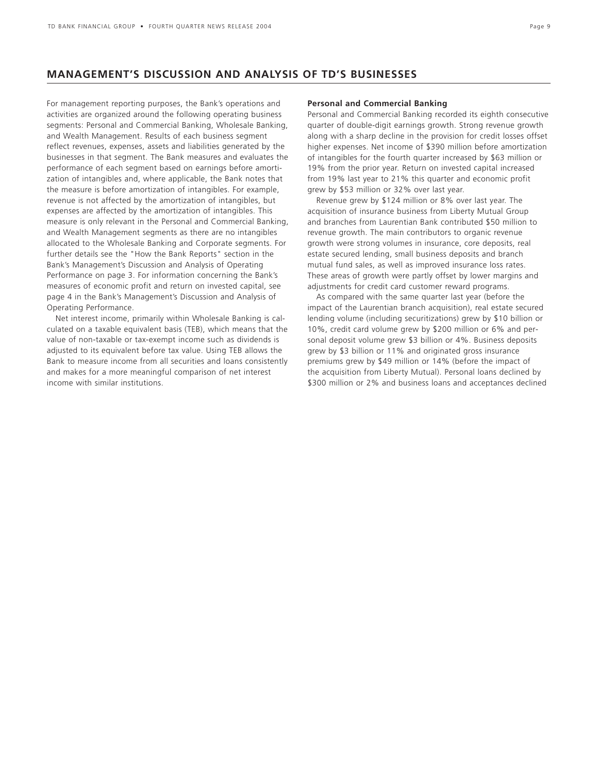## **MANAGEMENT'S DISCUSSION AND ANALYSIS OF TD'S BUSINESSES**

For management reporting purposes, the Bank's operations and activities are organized around the following operating business segments: Personal and Commercial Banking, Wholesale Banking, and Wealth Management. Results of each business segment reflect revenues, expenses, assets and liabilities generated by the businesses in that segment. The Bank measures and evaluates the performance of each segment based on earnings before amortization of intangibles and, where applicable, the Bank notes that the measure is before amortization of intangibles. For example, revenue is not affected by the amortization of intangibles, but expenses are affected by the amortization of intangibles. This measure is only relevant in the Personal and Commercial Banking, and Wealth Management segments as there are no intangibles allocated to the Wholesale Banking and Corporate segments. For further details see the "How the Bank Reports" section in the Bank's Management's Discussion and Analysis of Operating Performance on page 3. For information concerning the Bank's measures of economic profit and return on invested capital, see page 4 in the Bank's Management's Discussion and Analysis of Operating Performance.

Net interest income, primarily within Wholesale Banking is calculated on a taxable equivalent basis (TEB), which means that the value of non-taxable or tax-exempt income such as dividends is adjusted to its equivalent before tax value. Using TEB allows the Bank to measure income from all securities and loans consistently and makes for a more meaningful comparison of net interest income with similar institutions.

### **Personal and Commercial Banking**

Personal and Commercial Banking recorded its eighth consecutive quarter of double-digit earnings growth. Strong revenue growth along with a sharp decline in the provision for credit losses offset higher expenses. Net income of \$390 million before amortization of intangibles for the fourth quarter increased by \$63 million or 19% from the prior year. Return on invested capital increased from 19% last year to 21% this quarter and economic profit grew by \$53 million or 32% over last year.

Revenue grew by \$124 million or 8% over last year. The acquisition of insurance business from Liberty Mutual Group and branches from Laurentian Bank contributed \$50 million to revenue growth. The main contributors to organic revenue growth were strong volumes in insurance, core deposits, real estate secured lending, small business deposits and branch mutual fund sales, as well as improved insurance loss rates. These areas of growth were partly offset by lower margins and adjustments for credit card customer reward programs.

As compared with the same quarter last year (before the impact of the Laurentian branch acquisition), real estate secured lending volume (including securitizations) grew by \$10 billion or 10%, credit card volume grew by \$200 million or 6% and personal deposit volume grew \$3 billion or 4%. Business deposits grew by \$3 billion or 11% and originated gross insurance premiums grew by \$49 million or 14% (before the impact of the acquisition from Liberty Mutual). Personal loans declined by \$300 million or 2% and business loans and acceptances declined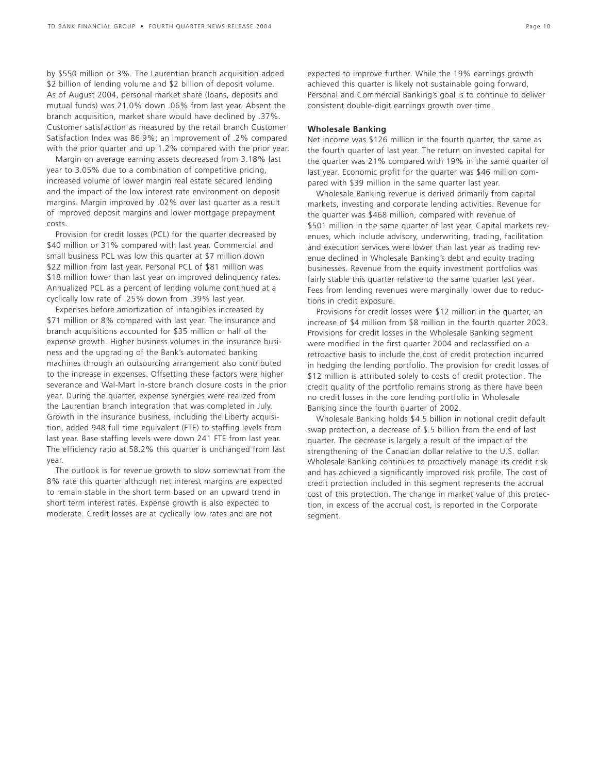by \$550 million or 3%. The Laurentian branch acquisition added \$2 billion of lending volume and \$2 billion of deposit volume. As of August 2004, personal market share (loans, deposits and mutual funds) was 21.0% down .06% from last year. Absent the branch acquisition, market share would have declined by .37%. Customer satisfaction as measured by the retail branch Customer Satisfaction Index was 86.9%; an improvement of .2% compared with the prior quarter and up 1.2% compared with the prior year.

Margin on average earning assets decreased from 3.18% last year to 3.05% due to a combination of competitive pricing, increased volume of lower margin real estate secured lending and the impact of the low interest rate environment on deposit margins. Margin improved by .02% over last quarter as a result of improved deposit margins and lower mortgage prepayment costs.

Provision for credit losses (PCL) for the quarter decreased by \$40 million or 31% compared with last year. Commercial and small business PCL was low this quarter at \$7 million down \$22 million from last year. Personal PCL of \$81 million was \$18 million lower than last year on improved delinquency rates. Annualized PCL as a percent of lending volume continued at a cyclically low rate of .25% down from .39% last year.

Expenses before amortization of intangibles increased by \$71 million or 8% compared with last year. The insurance and branch acquisitions accounted for \$35 million or half of the expense growth. Higher business volumes in the insurance business and the upgrading of the Bank's automated banking machines through an outsourcing arrangement also contributed to the increase in expenses. Offsetting these factors were higher severance and Wal-Mart in-store branch closure costs in the prior year. During the quarter, expense synergies were realized from the Laurentian branch integration that was completed in July. Growth in the insurance business, including the Liberty acquisition, added 948 full time equivalent (FTE) to staffing levels from last year. Base staffing levels were down 241 FTE from last year. The efficiency ratio at 58.2% this quarter is unchanged from last year.

The outlook is for revenue growth to slow somewhat from the 8% rate this quarter although net interest margins are expected to remain stable in the short term based on an upward trend in short term interest rates. Expense growth is also expected to moderate. Credit losses are at cyclically low rates and are not

expected to improve further. While the 19% earnings growth achieved this quarter is likely not sustainable going forward, Personal and Commercial Banking's goal is to continue to deliver consistent double-digit earnings growth over time.

### **Wholesale Banking**

Net income was \$126 million in the fourth quarter, the same as the fourth quarter of last year. The return on invested capital for the quarter was 21% compared with 19% in the same quarter of last year. Economic profit for the quarter was \$46 million compared with \$39 million in the same quarter last year.

Wholesale Banking revenue is derived primarily from capital markets, investing and corporate lending activities. Revenue for the quarter was \$468 million, compared with revenue of \$501 million in the same quarter of last year. Capital markets revenues, which include advisory, underwriting, trading, facilitation and execution services were lower than last year as trading revenue declined in Wholesale Banking's debt and equity trading businesses. Revenue from the equity investment portfolios was fairly stable this quarter relative to the same quarter last year. Fees from lending revenues were marginally lower due to reductions in credit exposure.

Provisions for credit losses were \$12 million in the quarter, an increase of \$4 million from \$8 million in the fourth quarter 2003. Provisions for credit losses in the Wholesale Banking segment were modified in the first quarter 2004 and reclassified on a retroactive basis to include the cost of credit protection incurred in hedging the lending portfolio. The provision for credit losses of \$12 million is attributed solely to costs of credit protection. The credit quality of the portfolio remains strong as there have been no credit losses in the core lending portfolio in Wholesale Banking since the fourth quarter of 2002.

Wholesale Banking holds \$4.5 billion in notional credit default swap protection, a decrease of \$.5 billion from the end of last quarter. The decrease is largely a result of the impact of the strengthening of the Canadian dollar relative to the U.S. dollar. Wholesale Banking continues to proactively manage its credit risk and has achieved a significantly improved risk profile. The cost of credit protection included in this segment represents the accrual cost of this protection. The change in market value of this protection, in excess of the accrual cost, is reported in the Corporate segment.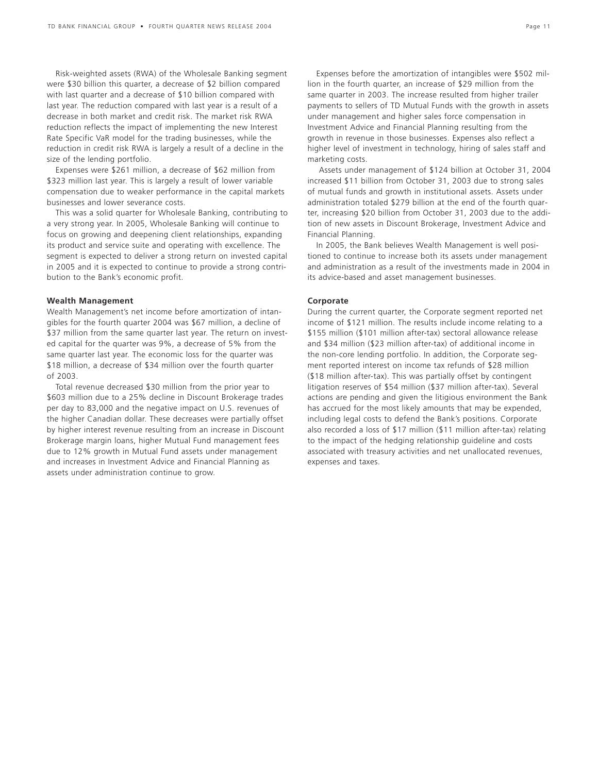Risk-weighted assets (RWA) of the Wholesale Banking segment were \$30 billion this quarter, a decrease of \$2 billion compared with last quarter and a decrease of \$10 billion compared with last year. The reduction compared with last year is a result of a decrease in both market and credit risk. The market risk RWA reduction reflects the impact of implementing the new Interest Rate Specific VaR model for the trading businesses, while the reduction in credit risk RWA is largely a result of a decline in the size of the lending portfolio.

Expenses were \$261 million, a decrease of \$62 million from \$323 million last year. This is largely a result of lower variable compensation due to weaker performance in the capital markets businesses and lower severance costs.

This was a solid quarter for Wholesale Banking, contributing to a very strong year. In 2005, Wholesale Banking will continue to focus on growing and deepening client relationships, expanding its product and service suite and operating with excellence. The segment is expected to deliver a strong return on invested capital in 2005 and it is expected to continue to provide a strong contribution to the Bank's economic profit.

#### **Wealth Management**

Wealth Management's net income before amortization of intangibles for the fourth quarter 2004 was \$67 million, a decline of \$37 million from the same quarter last year. The return on invested capital for the quarter was 9%, a decrease of 5% from the same quarter last year. The economic loss for the quarter was \$18 million, a decrease of \$34 million over the fourth quarter of 2003.

Total revenue decreased \$30 million from the prior year to \$603 million due to a 25% decline in Discount Brokerage trades per day to 83,000 and the negative impact on U.S. revenues of the higher Canadian dollar. These decreases were partially offset by higher interest revenue resulting from an increase in Discount Brokerage margin loans, higher Mutual Fund management fees due to 12% growth in Mutual Fund assets under management and increases in Investment Advice and Financial Planning as assets under administration continue to grow.

Expenses before the amortization of intangibles were \$502 million in the fourth quarter, an increase of \$29 million from the same quarter in 2003. The increase resulted from higher trailer payments to sellers of TD Mutual Funds with the growth in assets under management and higher sales force compensation in Investment Advice and Financial Planning resulting from the growth in revenue in those businesses. Expenses also reflect a higher level of investment in technology, hiring of sales staff and marketing costs.

Assets under management of \$124 billion at October 31, 2004 increased \$11 billion from October 31, 2003 due to strong sales of mutual funds and growth in institutional assets. Assets under administration totaled \$279 billion at the end of the fourth quarter, increasing \$20 billion from October 31, 2003 due to the addition of new assets in Discount Brokerage, Investment Advice and Financial Planning.

In 2005, the Bank believes Wealth Management is well positioned to continue to increase both its assets under management and administration as a result of the investments made in 2004 in its advice-based and asset management businesses.

### **Corporate**

During the current quarter, the Corporate segment reported net income of \$121 million. The results include income relating to a \$155 million (\$101 million after-tax) sectoral allowance release and \$34 million (\$23 million after-tax) of additional income in the non-core lending portfolio. In addition, the Corporate segment reported interest on income tax refunds of \$28 million (\$18 million after-tax). This was partially offset by contingent litigation reserves of \$54 million (\$37 million after-tax). Several actions are pending and given the litigious environment the Bank has accrued for the most likely amounts that may be expended, including legal costs to defend the Bank's positions. Corporate also recorded a loss of \$17 million (\$11 million after-tax) relating to the impact of the hedging relationship guideline and costs associated with treasury activities and net unallocated revenues, expenses and taxes.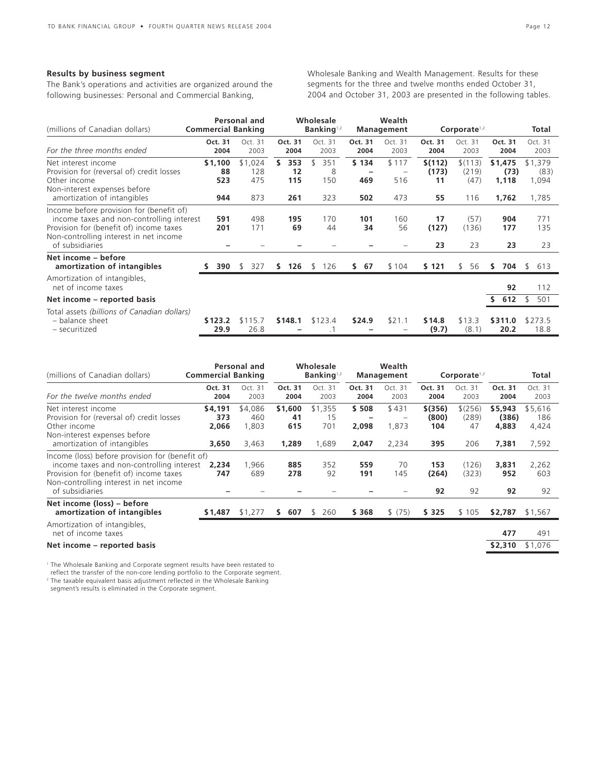## **Results by business segment**

The Bank's operations and activities are organized around the following businesses: Personal and Commercial Banking,

Wholesale Banking and Wealth Management. Results for these segments for the three and twelve months ended October 31, 2004 and October 31, 2003 are presented in the following tables.

| (millions of Canadian dollars)                                                                                                                                                                | <b>Commercial Banking</b>   | Personal and                 |                               | Wholesale<br>Banking $1,2$   |                     | Wealth<br><b>Management</b> |                              | Corporate $1,2$                 |                                   | Total                             |
|-----------------------------------------------------------------------------------------------------------------------------------------------------------------------------------------------|-----------------------------|------------------------------|-------------------------------|------------------------------|---------------------|-----------------------------|------------------------------|---------------------------------|-----------------------------------|-----------------------------------|
| For the three months ended                                                                                                                                                                    | Oct. 31<br>2004             | Oct. 31<br>2003              | Oct. 31<br>2004               | Oct. 31<br>2003              | Oct. 31<br>2004     | Oct. 31<br>2003             | Oct. 31<br>2004              | Oct. 31<br>2003                 | Oct. 31<br>2004                   | Oct. 31<br>2003                   |
| Net interest income<br>Provision for (reversal of) credit losses<br>Other income<br>Non-interest expenses before<br>amortization of intangibles                                               | \$1,100<br>88<br>523<br>944 | \$1,024<br>128<br>475<br>873 | 353<br>S.<br>12<br>115<br>261 | \$<br>351<br>8<br>150<br>323 | \$134<br>469<br>502 | \$117<br>516<br>473         | \$(112)<br>(173)<br>11<br>55 | \$(113)<br>(219)<br>(47)<br>116 | \$1,475<br>(73)<br>1,118<br>1,762 | \$1,379<br>(83)<br>1,094<br>1,785 |
| Income before provision for (benefit of)<br>income taxes and non-controlling interest<br>Provision for (benefit of) income taxes<br>Non-controlling interest in net income<br>of subsidiaries | 591<br>201                  | 498<br>171                   | 195<br>69                     | 170<br>44                    | 101<br>34           | 160<br>56                   | 17<br>(127)<br>23            | (57)<br>(136)<br>23             | 904<br>177<br>23                  | 771<br>135<br>23                  |
| Net income - before<br>amortization of intangibles                                                                                                                                            | 390                         | 327<br>-S                    | 126<br>S.                     | 126<br>\$                    | 67<br>S.            | \$104                       | \$121                        | 56<br>\$.                       | 704<br>s                          | 613<br>\$                         |
| Amortization of intangibles,<br>net of income taxes<br>Net income – reported basis                                                                                                            |                             |                              |                               |                              |                     |                             |                              |                                 | 92<br>612<br>s                    | 112<br>501                        |
| Total assets (billions of Canadian dollars)<br>- balance sheet<br>- securitized                                                                                                               | \$123.2<br>29.9             | \$115.7<br>26.8              | \$148.1                       | \$123.4                      | \$24.9              | \$21.1                      | \$14.8<br>(9.7)              | \$13.3<br>(8.1)                 | \$311.0<br>20.2                   | \$273.5<br>18.8                   |

| (millions of Canadian dollars)                                                                                                                                                                       | Personal and<br><b>Commercial Banking</b> |                                  | Wholesale<br>Banking <sup>1,2</sup> |                               | Wealth<br><b>Management</b> |                         | Corporate <sup>1,2</sup>       |                               |                                    | Total                            |
|------------------------------------------------------------------------------------------------------------------------------------------------------------------------------------------------------|-------------------------------------------|----------------------------------|-------------------------------------|-------------------------------|-----------------------------|-------------------------|--------------------------------|-------------------------------|------------------------------------|----------------------------------|
| For the twelve months ended                                                                                                                                                                          | Oct. 31<br>2004                           | Oct. 31<br>2003                  | Oct. 31<br>2004                     | Oct. 31<br>2003               | Oct. 31<br>2004             | Oct. 31<br>2003         | Oct. 31<br>2004                | Oct. 31<br>2003               | Oct. 31<br>2004                    | Oct. 31<br>2003                  |
| Net interest income<br>Provision for (reversal of) credit losses<br>Other income<br>Non-interest expenses before<br>amortization of intangibles                                                      | \$4,191<br>373<br>2,066<br>3,650          | \$4,086<br>460<br>1,803<br>3,463 | \$1,600<br>41<br>615<br>1,289       | \$1,355<br>15<br>701<br>1,689 | \$508<br>2,098<br>2,047     | \$431<br>1,873<br>2,234 | \$(356)<br>(800)<br>104<br>395 | \$(256)<br>(289)<br>47<br>206 | \$5,943<br>(386)<br>4,883<br>7,381 | \$5,616<br>186<br>4,424<br>7,592 |
| Income (loss) before provision for (benefit of)<br>income taxes and non-controlling interest<br>Provision for (benefit of) income taxes<br>Non-controlling interest in net income<br>of subsidiaries | 2.234<br>747                              | 1,966<br>689                     | 885<br>278                          | 352<br>92                     | 559<br>191                  | 70<br>145               | 153<br>(264)<br>92             | (126)<br>(323)<br>92          | 3,831<br>952<br>92                 | 2,262<br>603<br>92               |
| Net income (loss) – before<br>amortization of intangibles                                                                                                                                            | \$1,487                                   | \$1,277                          | 607<br>S.                           | 260<br>\$                     | \$ 368                      | \$ (75)                 | \$ 325                         | \$105                         | \$2,787                            | \$1,567                          |
| Amortization of intangibles,<br>net of income taxes                                                                                                                                                  |                                           |                                  |                                     |                               |                             |                         |                                |                               | 477                                | 491                              |
| Net income – reported basis                                                                                                                                                                          |                                           |                                  |                                     |                               |                             |                         |                                |                               | \$2,310                            | \$1,076                          |

<sup>1</sup> The Wholesale Banking and Corporate segment results have been restated to

reflect the transfer of the non-core lending portfolio to the Corporate segment.<br><sup>2</sup> The taxable equivalent basis adjustment reflected in the Wholesale Banking segment's results is eliminated in the Corporate segment.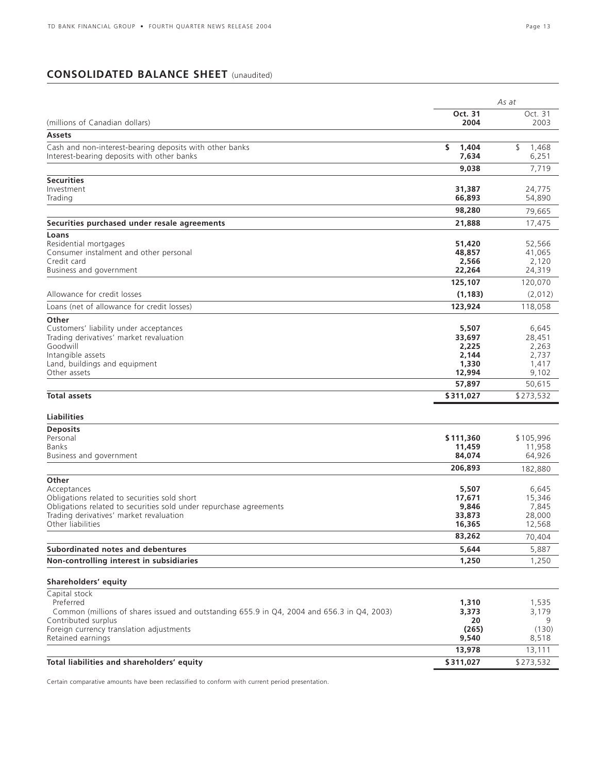## **CONSOLIDATED BALANCE SHEET** (unaudited)

|                                                                                                                   |                     | As at                |
|-------------------------------------------------------------------------------------------------------------------|---------------------|----------------------|
|                                                                                                                   | Oct. 31             | Oct. 31              |
| (millions of Canadian dollars)                                                                                    | 2004                | 2003                 |
| <b>Assets</b>                                                                                                     |                     |                      |
| Cash and non-interest-bearing deposits with other banks<br>Interest-bearing deposits with other banks             | s<br>1,404<br>7,634 | \$<br>1,468<br>6,251 |
|                                                                                                                   | 9,038               | 7,719                |
| <b>Securities</b>                                                                                                 |                     |                      |
| Investment                                                                                                        | 31,387              | 24,775               |
| Trading                                                                                                           | 66,893              | 54,890               |
|                                                                                                                   | 98,280              | 79,665               |
| Securities purchased under resale agreements                                                                      | 21,888              | 17,475               |
| Loans                                                                                                             |                     |                      |
| Residential mortgages                                                                                             | 51,420              | 52,566               |
| Consumer instalment and other personal                                                                            | 48,857              | 41,065               |
| Credit card<br>Business and government                                                                            | 2,566<br>22,264     | 2,120<br>24,319      |
|                                                                                                                   |                     |                      |
|                                                                                                                   | 125,107             | 120,070              |
| Allowance for credit losses                                                                                       | (1, 183)            | (2,012)              |
| Loans (net of allowance for credit losses)                                                                        | 123,924             | 118,058              |
| Other                                                                                                             |                     |                      |
| Customers' liability under acceptances<br>Trading derivatives' market revaluation                                 | 5,507<br>33,697     | 6,645<br>28,451      |
| Goodwill                                                                                                          | 2,225               | 2,263                |
| Intangible assets                                                                                                 | 2,144               | 2,737                |
| Land, buildings and equipment                                                                                     | 1,330               | 1,417                |
| Other assets                                                                                                      | 12,994              | 9,102                |
|                                                                                                                   | 57,897              | 50,615               |
| <b>Total assets</b>                                                                                               | \$311,027           | \$273,532            |
| <b>Liabilities</b>                                                                                                |                     |                      |
| <b>Deposits</b>                                                                                                   |                     |                      |
| Personal                                                                                                          | \$111,360           | \$105,996            |
| <b>Banks</b><br>Business and government                                                                           | 11,459<br>84,074    | 11,958<br>64,926     |
|                                                                                                                   | 206,893             |                      |
| Other                                                                                                             |                     | 182,880              |
| Acceptances                                                                                                       | 5,507               | 6,645                |
| Obligations related to securities sold short                                                                      | 17,671              | 15,346               |
| Obligations related to securities sold under repurchase agreements                                                | 9,846               | 7,845                |
| Trading derivatives' market revaluation                                                                           | 33,873              | 28,000               |
| Other liabilities                                                                                                 | 16,365              | 12,568               |
|                                                                                                                   | 83,262              | 70,404               |
| Subordinated notes and debentures                                                                                 | 5,644               | 5,887                |
| Non-controlling interest in subsidiaries                                                                          | 1,250               | 1,250                |
| Shareholders' equity                                                                                              |                     |                      |
| Capital stock                                                                                                     |                     |                      |
| Preferred                                                                                                         | 1,310               | 1,535                |
| Common (millions of shares issued and outstanding 655.9 in Q4, 2004 and 656.3 in Q4, 2003)<br>Contributed surplus | 3,373<br>20         | 3,179<br>9           |
| Foreign currency translation adjustments                                                                          | (265)               | (130)                |
| Retained earnings                                                                                                 | 9,540               | 8,518                |
|                                                                                                                   | 13,978              | 13,111               |
| Total liabilities and shareholders' equity                                                                        | \$311,027           | \$273,532            |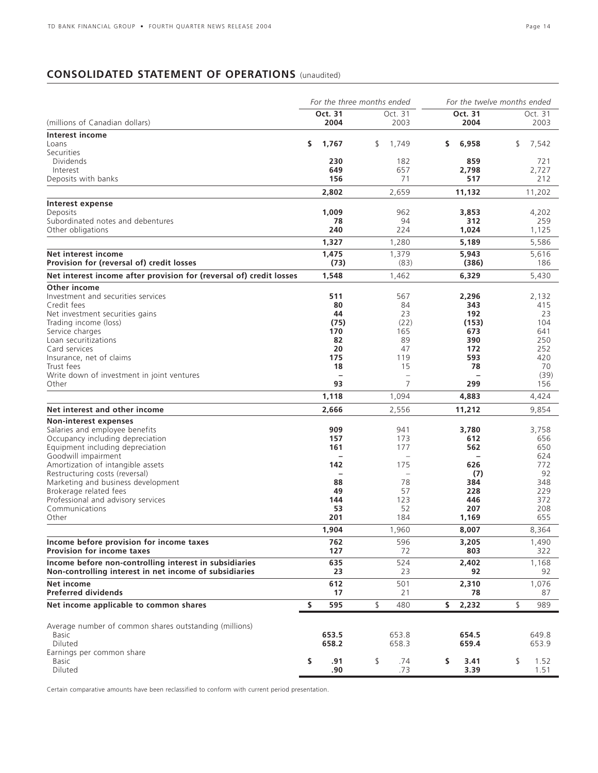# **CONSOLIDATED STATEMENT OF OPERATIONS** (unaudited)

|                                                                                                                  | For the three months ended |                          |     |                                | For the twelve months ended |                 |    |                 |
|------------------------------------------------------------------------------------------------------------------|----------------------------|--------------------------|-----|--------------------------------|-----------------------------|-----------------|----|-----------------|
| (millions of Canadian dollars)                                                                                   |                            | Oct. 31<br>2004          |     | Oct. 31<br>2003                |                             | Oct. 31<br>2004 |    | Oct. 31<br>2003 |
| Interest income                                                                                                  |                            |                          |     |                                |                             |                 |    |                 |
| Loans                                                                                                            | \$                         | 1,767                    | \$. | 1,749                          | S.                          | 6,958           | \$ | 7,542           |
| Securities                                                                                                       |                            |                          |     |                                |                             |                 |    |                 |
| Dividends                                                                                                        |                            | 230                      |     | 182                            |                             | 859             |    | 721             |
| Interest                                                                                                         |                            | 649                      |     | 657                            |                             | 2,798           |    | 2,727           |
| Deposits with banks                                                                                              |                            | 156                      |     | 71                             |                             | 517             |    | 212             |
|                                                                                                                  |                            | 2,802                    |     | 2,659                          |                             | 11,132          |    | 11,202          |
| Interest expense                                                                                                 |                            |                          |     |                                |                             |                 |    |                 |
| Deposits                                                                                                         |                            | 1,009                    |     | 962                            |                             | 3,853           |    | 4,202           |
| Subordinated notes and debentures                                                                                |                            | 78                       |     | 94                             |                             | 312             |    | 259             |
| Other obligations                                                                                                |                            | 240                      |     | 224                            |                             | 1,024           |    | 1,125           |
|                                                                                                                  |                            | 1,327                    |     | 1,280                          |                             | 5,189           |    | 5,586           |
| Net interest income                                                                                              |                            | 1,475                    |     | 1,379                          |                             | 5,943           |    | 5,616           |
| Provision for (reversal of) credit losses                                                                        |                            | (73)                     |     | (83)                           |                             | (386)           |    | 186             |
| Net interest income after provision for (reversal of) credit losses                                              |                            | 1,548                    |     | 1,462                          |                             | 6,329           |    | 5,430           |
| Other income                                                                                                     |                            |                          |     |                                |                             |                 |    |                 |
| Investment and securities services                                                                               |                            | 511                      |     | 567                            |                             | 2,296           |    | 2,132           |
| Credit fees                                                                                                      |                            | 80                       |     | 84                             |                             | 343             |    | 415             |
| Net investment securities gains                                                                                  |                            | 44                       |     | 23                             |                             | 192             |    | 23              |
| Trading income (loss)                                                                                            |                            | (75)                     |     | (22)                           |                             | (153)           |    | 104             |
| Service charges                                                                                                  |                            | 170                      |     | 165                            |                             | 673             |    | 641             |
| Loan securitizations                                                                                             |                            | 82                       |     | 89                             |                             | 390             |    | 250             |
| Card services                                                                                                    |                            | 20                       |     | 47                             |                             | 172             |    | 252             |
| Insurance, net of claims                                                                                         |                            | 175                      |     | 119                            |                             | 593             |    | 420             |
| Trust fees                                                                                                       |                            | 18                       |     | 15<br>$\overline{\phantom{0}}$ |                             | 78              |    | 70<br>(39)      |
| Write down of investment in joint ventures<br>Other                                                              |                            | 93                       |     | 7                              |                             | 299             |    | 156             |
|                                                                                                                  |                            |                          |     |                                |                             |                 |    |                 |
| Net interest and other income                                                                                    |                            | 1,118                    |     | 1,094                          |                             | 4,883           |    | 4,424           |
|                                                                                                                  |                            | 2,666                    |     | 2,556                          |                             | 11,212          |    | 9,854           |
| Non-interest expenses<br>Salaries and employee benefits                                                          |                            | 909                      |     |                                |                             |                 |    |                 |
| Occupancy including depreciation                                                                                 |                            | 157                      |     | 941<br>173                     |                             | 3,780<br>612    |    | 3,758<br>656    |
| Equipment including depreciation                                                                                 |                            | 161                      |     | 177                            |                             | 562             |    | 650             |
| Goodwill impairment                                                                                              |                            | $\overline{\phantom{0}}$ |     |                                |                             |                 |    | 624             |
| Amortization of intangible assets                                                                                |                            | 142                      |     | 175                            |                             | 626             |    | 772             |
| Restructuring costs (reversal)                                                                                   |                            | $\overline{\phantom{0}}$ |     | $\overline{\phantom{0}}$       |                             | (7)             |    | 92              |
| Marketing and business development                                                                               |                            | 88                       |     | 78                             |                             | 384             |    | 348             |
| Brokerage related fees                                                                                           |                            | 49                       |     | 57                             |                             | 228             |    | 229             |
| Professional and advisory services                                                                               |                            | 144                      |     | 123                            |                             | 446             |    | 372             |
| Communications                                                                                                   |                            | 53                       |     | 52                             |                             | 207             |    | 208             |
| Other                                                                                                            |                            | 201                      |     | 184                            |                             | 1,169           |    | 655             |
|                                                                                                                  |                            | 1,904                    |     | 1,960                          |                             | 8,007           |    | 8,364           |
| Income before provision for income taxes                                                                         |                            | 762                      |     | 596                            |                             | 3,205           |    | 1,490           |
| <b>Provision for income taxes</b>                                                                                |                            | 127                      |     | 72                             |                             | 803             |    | 322             |
| Income before non-controlling interest in subsidiaries<br>Non-controlling interest in net income of subsidiaries |                            | 635<br>23                |     | 524<br>23                      |                             | 2,402<br>92     |    | 1,168           |
|                                                                                                                  |                            |                          |     |                                |                             |                 |    | 92              |
| Net income<br><b>Preferred dividends</b>                                                                         |                            | 612<br>17                |     | 501<br>21                      |                             | 2,310<br>78     |    | 1,076<br>87     |
| Net income applicable to common shares                                                                           | \$                         | 595                      | \$  | 480                            | \$                          | 2,232           | \$ | 989             |
|                                                                                                                  |                            |                          |     |                                |                             |                 |    |                 |
| Average number of common shares outstanding (millions)                                                           |                            |                          |     |                                |                             |                 |    |                 |
| <b>Basic</b>                                                                                                     |                            | 653.5                    |     | 653.8                          |                             | 654.5           |    | 649.8           |
| Diluted                                                                                                          |                            | 658.2                    |     | 658.3                          |                             | 659.4           |    | 653.9           |
| Earnings per common share                                                                                        | \$                         |                          | \$  |                                |                             |                 | \$ |                 |
| <b>Basic</b><br>Diluted                                                                                          |                            | .91<br>.90               |     | .74<br>.73                     | \$                          | 3.41<br>3.39    |    | 1.52<br>1.51    |
|                                                                                                                  |                            |                          |     |                                |                             |                 |    |                 |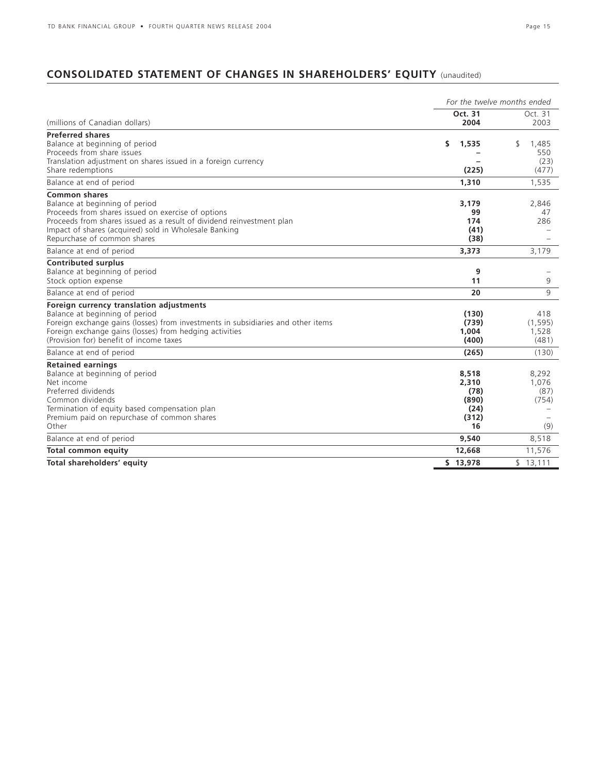# **CONSOLIDATED STATEMENT OF CHANGES IN SHAREHOLDERS' EQUITY** (unaudited)

|                                                                                                                                                                                                                                                                               | For the twelve months ended |                                                        |                                        |  |  |
|-------------------------------------------------------------------------------------------------------------------------------------------------------------------------------------------------------------------------------------------------------------------------------|-----------------------------|--------------------------------------------------------|----------------------------------------|--|--|
| (millions of Canadian dollars)                                                                                                                                                                                                                                                |                             | Oct. 31<br>2004                                        | Oct. 31<br>2003                        |  |  |
| <b>Preferred shares</b><br>Balance at beginning of period<br>Proceeds from share issues<br>Translation adjustment on shares issued in a foreign currency<br>Share redemptions                                                                                                 | \$                          | 1,535<br>(225)                                         | \$<br>1,485<br>550<br>(23)<br>(477)    |  |  |
| Balance at end of period                                                                                                                                                                                                                                                      |                             | 1,310                                                  | 1,535                                  |  |  |
| <b>Common shares</b><br>Balance at beginning of period<br>Proceeds from shares issued on exercise of options<br>Proceeds from shares issued as a result of dividend reinvestment plan<br>Impact of shares (acquired) sold in Wholesale Banking<br>Repurchase of common shares |                             | 3,179<br>99<br>174<br>(41)<br>(38)                     | 2,846<br>47<br>286                     |  |  |
| Balance at end of period                                                                                                                                                                                                                                                      |                             | 3,373                                                  | 3,179                                  |  |  |
| <b>Contributed surplus</b><br>Balance at beginning of period<br>Stock option expense                                                                                                                                                                                          |                             | 9<br>11                                                | 9                                      |  |  |
| Balance at end of period                                                                                                                                                                                                                                                      |                             | 20                                                     | 9                                      |  |  |
| Foreign currency translation adjustments<br>Balance at beginning of period<br>Foreign exchange gains (losses) from investments in subsidiaries and other items<br>Foreign exchange gains (losses) from hedging activities<br>(Provision for) benefit of income taxes          |                             | (130)<br>(739)<br>1.004<br>(400)                       | 418<br>(1, 595)<br>1,528<br>(481)      |  |  |
| Balance at end of period                                                                                                                                                                                                                                                      |                             | (265)                                                  | (130)                                  |  |  |
| <b>Retained earnings</b><br>Balance at beginning of period<br>Net income<br>Preferred dividends<br>Common dividends<br>Termination of equity based compensation plan<br>Premium paid on repurchase of common shares<br>Other                                                  |                             | 8,518<br>2,310<br>(78)<br>(890)<br>(24)<br>(312)<br>16 | 8,292<br>1,076<br>(87)<br>(754)<br>(9) |  |  |
| Balance at end of period                                                                                                                                                                                                                                                      |                             | 9,540                                                  | 8,518                                  |  |  |
| <b>Total common equity</b>                                                                                                                                                                                                                                                    |                             | 12,668                                                 | 11,576                                 |  |  |
| Total shareholders' equity                                                                                                                                                                                                                                                    |                             | \$13,978                                               | \$13,111                               |  |  |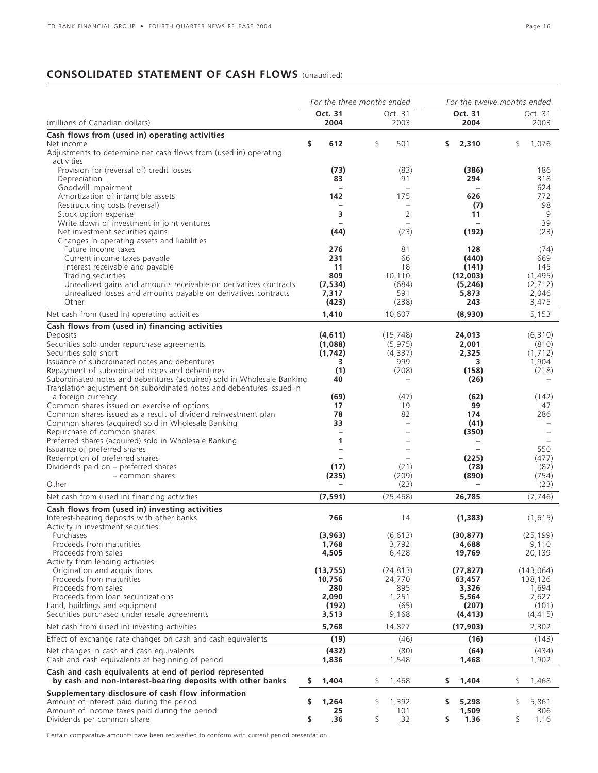# **CONSOLIDATED STATEMENT OF CASH FLOWS** (unaudited)

|                                                                                                                                    | For the three months ended      |                                 | For the twelve months ended |                    |  |
|------------------------------------------------------------------------------------------------------------------------------------|---------------------------------|---------------------------------|-----------------------------|--------------------|--|
| (millions of Canadian dollars)                                                                                                     | Oct. 31<br>2004                 | Oct. 31<br>2003                 | Oct. 31<br>2004             | Oct. 31<br>2003    |  |
| Cash flows from (used in) operating activities                                                                                     |                                 |                                 |                             |                    |  |
| Net income<br>Adjustments to determine net cash flows from (used in) operating<br>activities                                       | \$<br>612                       | \$<br>501                       | \$<br>2,310                 | \$<br>1,076        |  |
| Provision for (reversal of) credit losses                                                                                          | (73)                            | (83)                            | (386)                       | 186                |  |
| Depreciation                                                                                                                       | 83                              | 91                              | 294                         | 318                |  |
| Goodwill impairment                                                                                                                |                                 |                                 |                             | 624                |  |
| Amortization of intangible assets<br>Restructuring costs (reversal)                                                                | 142<br>$\overline{\phantom{0}}$ | 175<br>$\overline{\phantom{0}}$ | 626<br>(7)                  | 772<br>98          |  |
| Stock option expense                                                                                                               | 3                               | 2                               | 11                          | 9                  |  |
| Write down of investment in joint ventures                                                                                         |                                 |                                 |                             | 39                 |  |
| Net investment securities gains                                                                                                    | (44)                            | (23)                            | (192)                       | (23)               |  |
| Changes in operating assets and liabilities<br>Future income taxes                                                                 | 276                             | 81                              | 128                         | (74)               |  |
| Current income taxes payable                                                                                                       | 231                             | 66                              | (440)                       | 669                |  |
| Interest receivable and payable                                                                                                    | 11                              | 18                              | (141)                       | 145                |  |
| Trading securities                                                                                                                 | 809<br>(7, 534)                 | 10,110                          | (12,003)                    | (1, 495)           |  |
| Unrealized gains and amounts receivable on derivatives contracts<br>Unrealized losses and amounts payable on derivatives contracts | 7,317                           | (684)<br>591                    | (5,246)<br>5,873            | (2,712)<br>2,046   |  |
| Other                                                                                                                              | (423)                           | (238)                           | 243                         | 3,475              |  |
| Net cash from (used in) operating activities                                                                                       | 1,410                           | 10,607                          | (8,930)                     | 5,153              |  |
| Cash flows from (used in) financing activities                                                                                     |                                 |                                 |                             |                    |  |
| Deposits                                                                                                                           | (4,611)                         | (15, 748)                       | 24,013                      | (6,310)            |  |
| Securities sold under repurchase agreements<br>Securities sold short                                                               | (1,088)<br>(1, 742)             | (5, 975)<br>(4, 337)            | 2,001<br>2,325              | (810)<br>(1,712)   |  |
| Issuance of subordinated notes and debentures                                                                                      | 3                               | 999                             | 3                           | 1,904              |  |
| Repayment of subordinated notes and debentures                                                                                     | (1)                             | (208)                           | (158)                       | (218)              |  |
| Subordinated notes and debentures (acquired) sold in Wholesale Banking                                                             | 40                              | $\overline{\phantom{0}}$        | (26)                        |                    |  |
| Translation adjustment on subordinated notes and debentures issued in<br>a foreign currency                                        | (69)                            | (47)                            | (62)                        | (142)              |  |
| Common shares issued on exercise of options                                                                                        | 17                              | 19                              | 99                          | 47                 |  |
| Common shares issued as a result of dividend reinvestment plan                                                                     | 78                              | 82                              | 174                         | 286                |  |
| Common shares (acquired) sold in Wholesale Banking<br>Repurchase of common shares                                                  | 33                              |                                 | (41)                        |                    |  |
| Preferred shares (acquired) sold in Wholesale Banking                                                                              | 1                               |                                 | (350)                       |                    |  |
| Issuance of preferred shares                                                                                                       |                                 |                                 |                             | 550                |  |
| Redemption of preferred shares                                                                                                     |                                 |                                 | (225)                       | (477)              |  |
| Dividends paid on - preferred shares<br>- common shares                                                                            | (17)<br>(235)                   | (21)<br>(209)                   | (78)<br>(890)               | (87)<br>(754)      |  |
| Other                                                                                                                              |                                 | (23)                            |                             | (23)               |  |
| Net cash from (used in) financing activities                                                                                       | (7, 591)                        | (25, 468)                       | 26,785                      | (7, 746)           |  |
| Cash flows from (used in) investing activities                                                                                     |                                 |                                 |                             |                    |  |
| Interest-bearing deposits with other banks<br>Activity in investment securities                                                    | 766                             | 14                              | (1, 383)                    | (1,615)            |  |
| Purchases                                                                                                                          | (3,963)                         | (6, 613)                        | (30, 877)                   | (25, 199)          |  |
| Proceeds from maturities                                                                                                           | 1,768                           | 3,792                           | 4,688                       | 9,110              |  |
| Proceeds from sales                                                                                                                | 4,505                           | 6,428                           | 19,769                      | 20,139             |  |
| Activity from lending activities<br>Origination and acquisitions                                                                   | (13, 755)                       | (24, 813)                       | (77, 827)                   | (143, 064)         |  |
| Proceeds from maturities                                                                                                           | 10,756                          | 24,770                          | 63,457                      | 138,126            |  |
| Proceeds from sales                                                                                                                | 280                             | 895                             | 3,326                       | 1,694              |  |
| Proceeds from loan securitizations<br>Land, buildings and equipment                                                                | 2,090                           | 1,251                           | 5,564                       | 7,627              |  |
| Securities purchased under resale agreements                                                                                       | (192)<br>3,513                  | (65)<br>9,168                   | (207)<br>(4, 413)           | (101)<br>(4, 415)  |  |
| Net cash from (used in) investing activities                                                                                       | 5,768                           | 14,827                          | (17, 903)                   | 2,302              |  |
| Effect of exchange rate changes on cash and cash equivalents                                                                       | (19)                            | (46)                            | (16)                        | (143)              |  |
| Net changes in cash and cash equivalents                                                                                           | (432)                           | (80)                            | (64)                        | (434)              |  |
| Cash and cash equivalents at beginning of period                                                                                   | 1,836                           | 1,548                           | 1,468                       | 1,902              |  |
| Cash and cash equivalents at end of period represented<br>by cash and non-interest-bearing deposits with other banks               | \$<br>1,404                     | \$<br>1,468                     | \$<br>1,404                 | \$<br>1,468        |  |
| Supplementary disclosure of cash flow information                                                                                  |                                 |                                 |                             |                    |  |
| Amount of interest paid during the period<br>Amount of income taxes paid during the period                                         | \$<br>1,264<br>25               | \$<br>1,392<br>101              | \$<br>5,298<br>1,509        | 5,861<br>\$<br>306 |  |
| Dividends per common share                                                                                                         | \$<br>.36                       | \$<br>.32                       | \$<br>1.36                  | \$<br>1.16         |  |